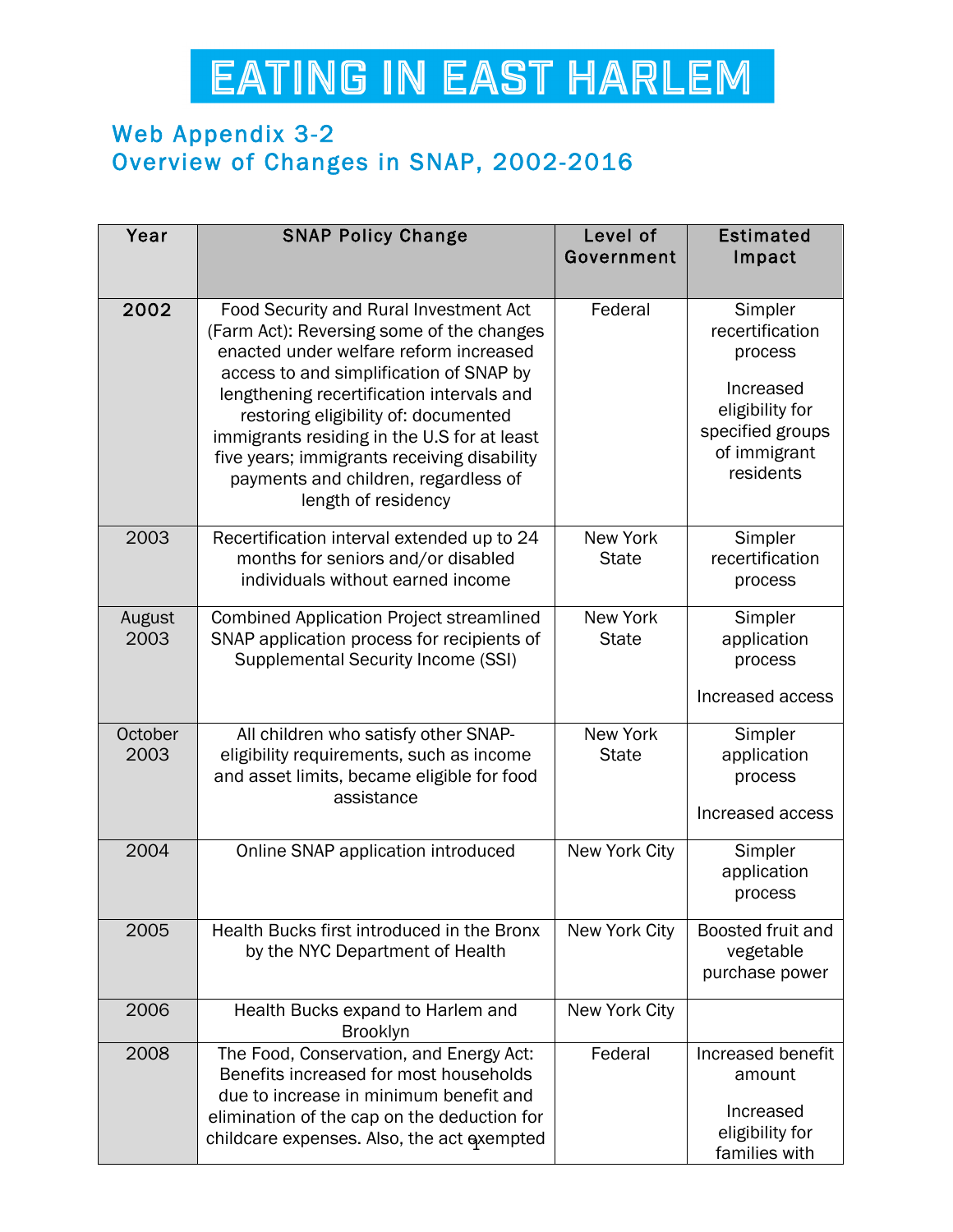## EATING IN EAST HARLEM

## Web Appendix 3-2 Overview of Changes in SNAP, 2002-2016

| Year            | <b>SNAP Policy Change</b>                                                                                                                                                                                                                                                                                                                                                                                                  | Level of<br>Government          | <b>Estimated</b><br>Impact                                                                                             |
|-----------------|----------------------------------------------------------------------------------------------------------------------------------------------------------------------------------------------------------------------------------------------------------------------------------------------------------------------------------------------------------------------------------------------------------------------------|---------------------------------|------------------------------------------------------------------------------------------------------------------------|
| 2002            | Food Security and Rural Investment Act<br>(Farm Act): Reversing some of the changes<br>enacted under welfare reform increased<br>access to and simplification of SNAP by<br>lengthening recertification intervals and<br>restoring eligibility of: documented<br>immigrants residing in the U.S for at least<br>five years; immigrants receiving disability<br>payments and children, regardless of<br>length of residency | Federal                         | Simpler<br>recertification<br>process<br>Increased<br>eligibility for<br>specified groups<br>of immigrant<br>residents |
| 2003            | Recertification interval extended up to 24<br>months for seniors and/or disabled<br>individuals without earned income                                                                                                                                                                                                                                                                                                      | <b>New York</b><br><b>State</b> | Simpler<br>recertification<br>process                                                                                  |
| August<br>2003  | <b>Combined Application Project streamlined</b><br>SNAP application process for recipients of<br><b>Supplemental Security Income (SSI)</b>                                                                                                                                                                                                                                                                                 | <b>New York</b><br><b>State</b> | Simpler<br>application<br>process<br>Increased access                                                                  |
| October<br>2003 | All children who satisfy other SNAP-<br>eligibility requirements, such as income<br>and asset limits, became eligible for food<br>assistance                                                                                                                                                                                                                                                                               | <b>New York</b><br><b>State</b> | Simpler<br>application<br>process<br>Increased access                                                                  |
| 2004            | Online SNAP application introduced                                                                                                                                                                                                                                                                                                                                                                                         | New York City                   | Simpler<br>application<br>process                                                                                      |
| 2005            | Health Bucks first introduced in the Bronx<br>by the NYC Department of Health                                                                                                                                                                                                                                                                                                                                              | New York City                   | Boosted fruit and<br>vegetable<br>purchase power                                                                       |
| 2006            | Health Bucks expand to Harlem and<br><b>Brooklyn</b>                                                                                                                                                                                                                                                                                                                                                                       | New York City                   |                                                                                                                        |
| 2008            | The Food, Conservation, and Energy Act:<br>Benefits increased for most households<br>due to increase in minimum benefit and<br>elimination of the cap on the deduction for<br>childcare expenses. Also, the act exempted                                                                                                                                                                                                   | Federal                         | Increased benefit<br>amount<br>Increased<br>eligibility for<br>families with                                           |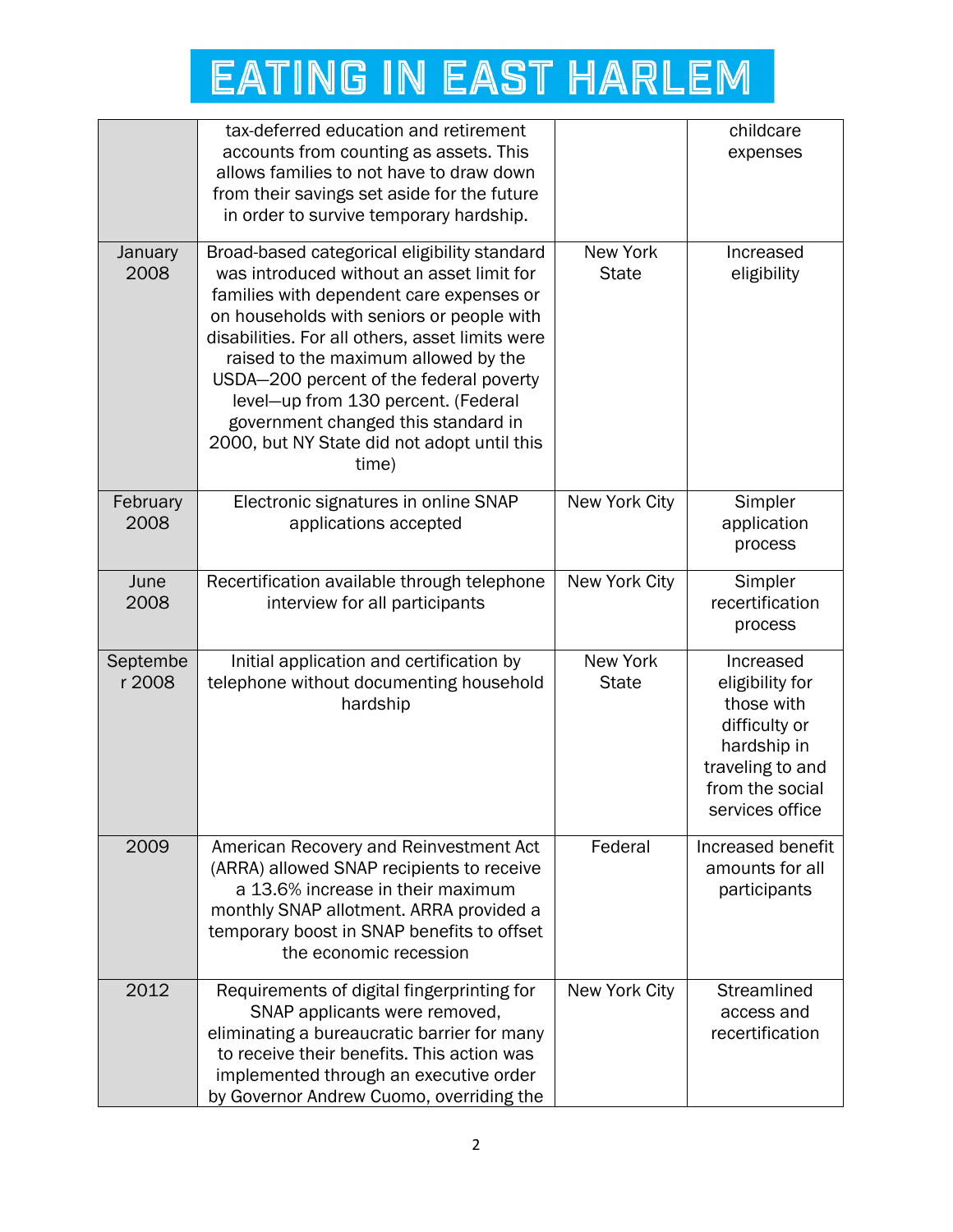## **EATING IN EAST HARLEM**

|                    | tax-deferred education and retirement<br>accounts from counting as assets. This<br>allows families to not have to draw down<br>from their savings set aside for the future                                                                                                                                                                                                                                                                                     |                          | childcare<br>expenses                                                                                                                |
|--------------------|----------------------------------------------------------------------------------------------------------------------------------------------------------------------------------------------------------------------------------------------------------------------------------------------------------------------------------------------------------------------------------------------------------------------------------------------------------------|--------------------------|--------------------------------------------------------------------------------------------------------------------------------------|
|                    | in order to survive temporary hardship.                                                                                                                                                                                                                                                                                                                                                                                                                        |                          |                                                                                                                                      |
| January<br>2008    | Broad-based categorical eligibility standard<br>was introduced without an asset limit for<br>families with dependent care expenses or<br>on households with seniors or people with<br>disabilities. For all others, asset limits were<br>raised to the maximum allowed by the<br>USDA-200 percent of the federal poverty<br>level-up from 130 percent. (Federal<br>government changed this standard in<br>2000, but NY State did not adopt until this<br>time) | New York<br><b>State</b> | Increased<br>eligibility                                                                                                             |
| February<br>2008   | Electronic signatures in online SNAP<br>applications accepted                                                                                                                                                                                                                                                                                                                                                                                                  | New York City            | Simpler<br>application<br>process                                                                                                    |
| June<br>2008       | Recertification available through telephone<br>interview for all participants                                                                                                                                                                                                                                                                                                                                                                                  | New York City            | Simpler<br>recertification<br>process                                                                                                |
| Septembe<br>r 2008 | Initial application and certification by<br>telephone without documenting household<br>hardship                                                                                                                                                                                                                                                                                                                                                                | New York<br><b>State</b> | Increased<br>eligibility for<br>those with<br>difficulty or<br>hardship in<br>traveling to and<br>from the social<br>services office |
| 2009               | American Recovery and Reinvestment Act<br>(ARRA) allowed SNAP recipients to receive<br>a 13.6% increase in their maximum<br>monthly SNAP allotment. ARRA provided a<br>temporary boost in SNAP benefits to offset<br>the economic recession                                                                                                                                                                                                                    | Federal                  | Increased benefit<br>amounts for all<br>participants                                                                                 |
| 2012               | Requirements of digital fingerprinting for<br>SNAP applicants were removed,<br>eliminating a bureaucratic barrier for many<br>to receive their benefits. This action was<br>implemented through an executive order<br>by Governor Andrew Cuomo, overriding the                                                                                                                                                                                                 | New York City            | Streamlined<br>access and<br>recertification                                                                                         |